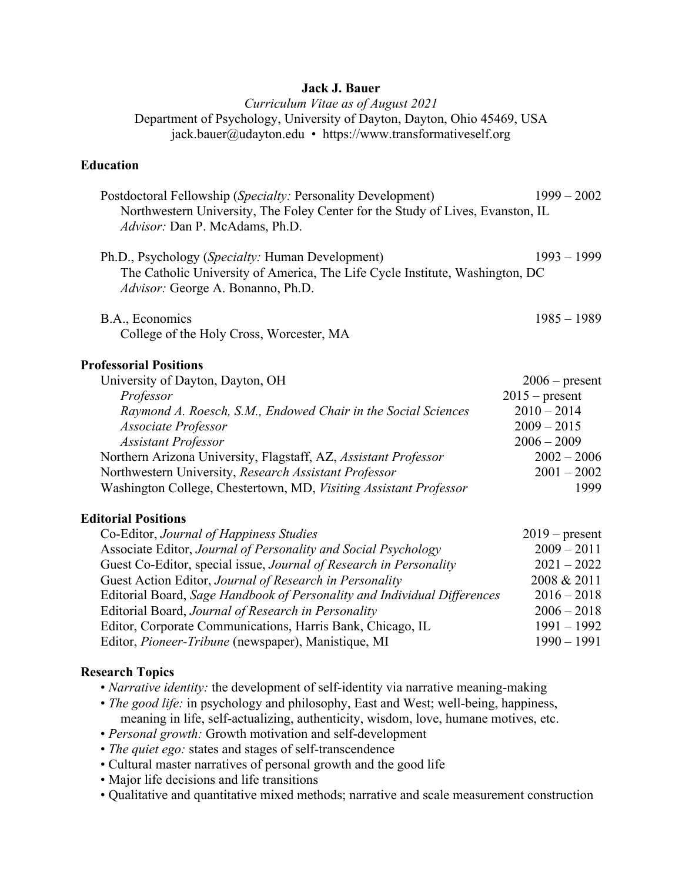# **Jack J. Bauer**

*Curriculum Vitae as of August 2021* Department of Psychology, University of Dayton, Dayton, Ohio 45469, USA jack.bauer@udayton.edu • https://www.transformativeself.org

# **Education**

| Postdoctoral Fellowship (Specialty: Personality Development)                   | $1999 - 2002$ |  |
|--------------------------------------------------------------------------------|---------------|--|
| Northwestern University, The Foley Center for the Study of Lives, Evanston, IL |               |  |
| Advisor: Dan P. McAdams, Ph.D.                                                 |               |  |
| Ph.D., Psychology ( <i>Specialty:</i> Human Development)                       | $1993 - 1999$ |  |
| The Catholic University of America, The Life Cycle Institute, Washington, DC   |               |  |
| Advisor: George A. Bonanno, Ph.D.                                              |               |  |
|                                                                                |               |  |
| B.A., Economics                                                                | $1985 - 1989$ |  |
| College of the Holy Cross, Worcester, MA                                       |               |  |

### **Professorial Positions**

| University of Dayton, Dayton, OH                                  | $2006$ – present |
|-------------------------------------------------------------------|------------------|
| Professor                                                         | $2015$ – present |
| Raymond A. Roesch, S.M., Endowed Chair in the Social Sciences     | $2010 - 2014$    |
| Associate Professor                                               | $2009 - 2015$    |
| <b>Assistant Professor</b>                                        | $2006 - 2009$    |
| Northern Arizona University, Flagstaff, AZ, Assistant Professor   | $2002 - 2006$    |
| Northwestern University, Research Assistant Professor             | $2001 - 2002$    |
| Washington College, Chestertown, MD, Visiting Assistant Professor | 1999             |

### **Editorial Positions**

| Co-Editor, Journal of Happiness Studies                                  | $2019$ – present |
|--------------------------------------------------------------------------|------------------|
| Associate Editor, Journal of Personality and Social Psychology           | $2009 - 2011$    |
| Guest Co-Editor, special issue, Journal of Research in Personality       | $2021 - 2022$    |
| Guest Action Editor, Journal of Research in Personality                  | 2008 & 2011      |
| Editorial Board, Sage Handbook of Personality and Individual Differences | $2016 - 2018$    |
| Editorial Board, Journal of Research in Personality                      | $2006 - 2018$    |
| Editor, Corporate Communications, Harris Bank, Chicago, IL               | $1991 - 1992$    |
| Editor, <i>Pioneer-Tribune</i> (newspaper), Manistique, MI               | $1990 - 1991$    |

#### **Research Topics**

- *Narrative identity*: the development of self-identity via narrative meaning-making
- *The good life:* in psychology and philosophy, East and West; well-being, happiness, meaning in life, self-actualizing, authenticity, wisdom, love, humane motives, etc.
- *Personal growth:* Growth motivation and self-development
- *The quiet ego:* states and stages of self-transcendence
- Cultural master narratives of personal growth and the good life
- Major life decisions and life transitions
- Qualitative and quantitative mixed methods; narrative and scale measurement construction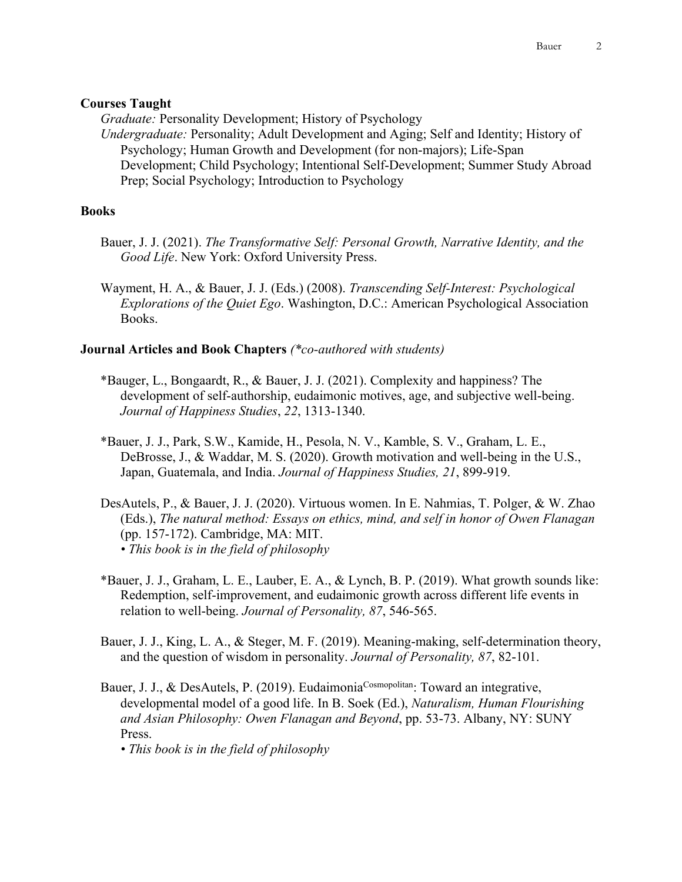### **Courses Taught**

*Graduate:* Personality Development; History of Psychology

*Undergraduate:* Personality; Adult Development and Aging; Self and Identity; History of Psychology; Human Growth and Development (for non-majors); Life-Span Development; Child Psychology; Intentional Self-Development; Summer Study Abroad Prep; Social Psychology; Introduction to Psychology

### **Books**

- Bauer, J. J. (2021). *The Transformative Self: Personal Growth, Narrative Identity, and the Good Life*. New York: Oxford University Press.
- Wayment, H. A., & Bauer, J. J. (Eds.) (2008). *Transcending Self-Interest: Psychological Explorations of the Quiet Ego*. Washington, D.C.: American Psychological Association Books.

### **Journal Articles and Book Chapters** *(\*co-authored with students)*

- \*Bauger, L., Bongaardt, R., & Bauer, J. J. (2021). Complexity and happiness? The development of self-authorship, eudaimonic motives, age, and subjective well-being. *Journal of Happiness Studies*, *22*, 1313-1340.
- \*Bauer, J. J., Park, S.W., Kamide, H., Pesola, N. V., Kamble, S. V., Graham, L. E., DeBrosse, J., & Waddar, M. S. (2020). Growth motivation and well-being in the U.S., Japan, Guatemala, and India. *Journal of Happiness Studies, 21*, 899-919.
- DesAutels, P., & Bauer, J. J. (2020). Virtuous women. In E. Nahmias, T. Polger, & W. Zhao (Eds.), *The natural method: Essays on ethics, mind, and self in honor of Owen Flanagan* (pp. 157-172). Cambridge, MA: MIT. *• This book is in the field of philosophy*
- \*Bauer, J. J., Graham, L. E., Lauber, E. A., & Lynch, B. P. (2019). What growth sounds like: Redemption, self-improvement, and eudaimonic growth across different life events in relation to well-being. *Journal of Personality, 87*, 546-565.
- Bauer, J. J., King, L. A., & Steger, M. F. (2019). Meaning-making, self-determination theory, and the question of wisdom in personality. *Journal of Personality, 87*, 82-101.
- Bauer, J. J., & DesAutels, P. (2019). Eudaimonia<sup>Cosmopolitan</sup>: Toward an integrative, developmental model of a good life. In B. Soek (Ed.), *Naturalism, Human Flourishing and Asian Philosophy: Owen Flanagan and Beyond*, pp. 53-73. Albany, NY: SUNY Press.

*• This book is in the field of philosophy*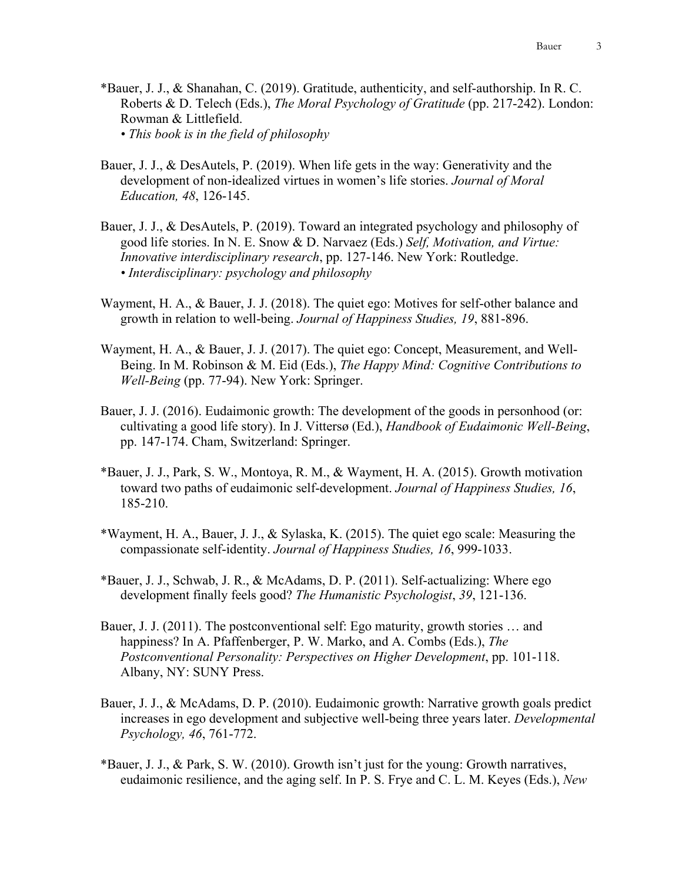- \*Bauer, J. J., & Shanahan, C. (2019). Gratitude, authenticity, and self-authorship. In R. C. Roberts & D. Telech (Eds.), *The Moral Psychology of Gratitude* (pp. 217-242). London: Rowman & Littlefield. *• This book is in the field of philosophy*
- Bauer, J. J., & DesAutels, P. (2019). When life gets in the way: Generativity and the development of non-idealized virtues in women's life stories. *Journal of Moral Education, 48*, 126-145.
- Bauer, J. J., & DesAutels, P. (2019). Toward an integrated psychology and philosophy of good life stories. In N. E. Snow & D. Narvaez (Eds.) *Self, Motivation, and Virtue: Innovative interdisciplinary research*, pp. 127-146. New York: Routledge. *• Interdisciplinary: psychology and philosophy*
- Wayment, H. A., & Bauer, J. J. (2018). The quiet ego: Motives for self-other balance and growth in relation to well-being. *Journal of Happiness Studies, 19*, 881-896.
- Wayment, H. A., & Bauer, J. J. (2017). The quiet ego: Concept, Measurement, and Well-Being. In M. Robinson & M. Eid (Eds.), *The Happy Mind: Cognitive Contributions to Well-Being* (pp. 77-94). New York: Springer.
- Bauer, J. J. (2016). Eudaimonic growth: The development of the goods in personhood (or: cultivating a good life story). In J. Vittersø (Ed.), *Handbook of Eudaimonic Well-Being*, pp. 147-174. Cham, Switzerland: Springer.
- \*Bauer, J. J., Park, S. W., Montoya, R. M., & Wayment, H. A. (2015). Growth motivation toward two paths of eudaimonic self-development. *Journal of Happiness Studies, 16*, 185-210.
- \*Wayment, H. A., Bauer, J. J., & Sylaska, K. (2015). The quiet ego scale: Measuring the compassionate self-identity. *Journal of Happiness Studies, 16*, 999-1033.
- \*Bauer, J. J., Schwab, J. R., & McAdams, D. P. (2011). Self-actualizing: Where ego development finally feels good? *The Humanistic Psychologist*, *39*, 121-136.
- Bauer, J. J. (2011). The postconventional self: Ego maturity, growth stories … and happiness? In A. Pfaffenberger, P. W. Marko, and A. Combs (Eds.), *The Postconventional Personality: Perspectives on Higher Development*, pp. 101-118. Albany, NY: SUNY Press.
- Bauer, J. J., & McAdams, D. P. (2010). Eudaimonic growth: Narrative growth goals predict increases in ego development and subjective well-being three years later. *Developmental Psychology, 46*, 761-772.
- \*Bauer, J. J., & Park, S. W. (2010). Growth isn't just for the young: Growth narratives, eudaimonic resilience, and the aging self. In P. S. Frye and C. L. M. Keyes (Eds.), *New*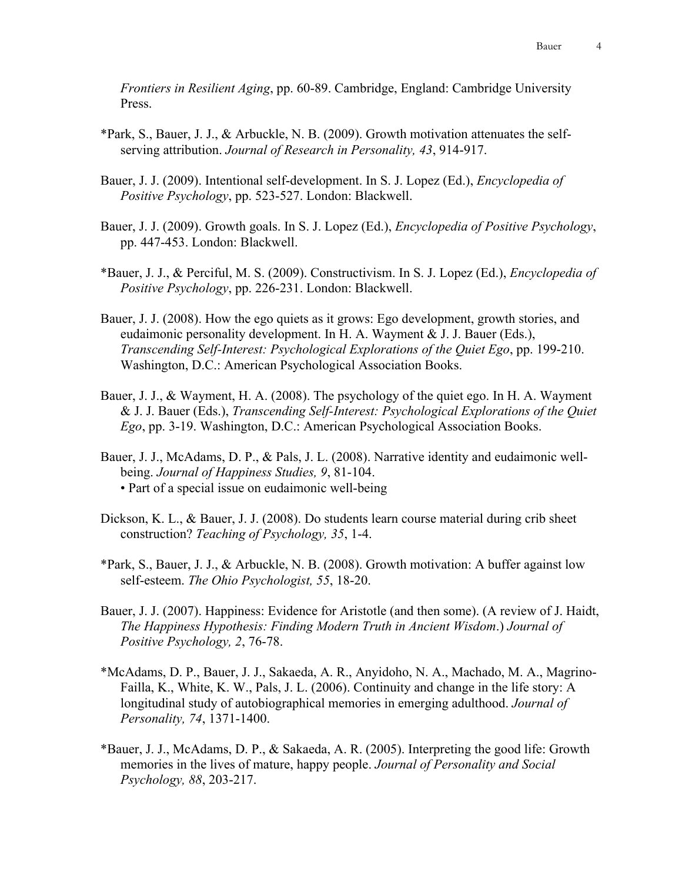*Frontiers in Resilient Aging*, pp. 60-89. Cambridge, England: Cambridge University Press.

- \*Park, S., Bauer, J. J., & Arbuckle, N. B. (2009). Growth motivation attenuates the selfserving attribution. *Journal of Research in Personality, 43*, 914-917.
- Bauer, J. J. (2009). Intentional self-development. In S. J. Lopez (Ed.), *Encyclopedia of Positive Psychology*, pp. 523-527. London: Blackwell.
- Bauer, J. J. (2009). Growth goals. In S. J. Lopez (Ed.), *Encyclopedia of Positive Psychology*, pp. 447-453. London: Blackwell.
- \*Bauer, J. J., & Perciful, M. S. (2009). Constructivism. In S. J. Lopez (Ed.), *Encyclopedia of Positive Psychology*, pp. 226-231. London: Blackwell.
- Bauer, J. J. (2008). How the ego quiets as it grows: Ego development, growth stories, and eudaimonic personality development. In H. A. Wayment & J. J. Bauer (Eds.), *Transcending Self-Interest: Psychological Explorations of the Quiet Ego*, pp. 199-210. Washington, D.C.: American Psychological Association Books.
- Bauer, J. J., & Wayment, H. A. (2008). The psychology of the quiet ego. In H. A. Wayment & J. J. Bauer (Eds.), *Transcending Self-Interest: Psychological Explorations of the Quiet Ego*, pp. 3-19. Washington, D.C.: American Psychological Association Books.
- Bauer, J. J., McAdams, D. P., & Pals, J. L. (2008). Narrative identity and eudaimonic wellbeing. *Journal of Happiness Studies, 9*, 81-104. • Part of a special issue on eudaimonic well-being
- Dickson, K. L., & Bauer, J. J. (2008). Do students learn course material during crib sheet construction? *Teaching of Psychology, 35*, 1-4.
- \*Park, S., Bauer, J. J., & Arbuckle, N. B. (2008). Growth motivation: A buffer against low self-esteem. *The Ohio Psychologist, 55*, 18-20.
- Bauer, J. J. (2007). Happiness: Evidence for Aristotle (and then some). (A review of J. Haidt, *The Happiness Hypothesis: Finding Modern Truth in Ancient Wisdom*.) *Journal of Positive Psychology, 2*, 76-78.
- \*McAdams, D. P., Bauer, J. J., Sakaeda, A. R., Anyidoho, N. A., Machado, M. A., Magrino-Failla, K., White, K. W., Pals, J. L. (2006). Continuity and change in the life story: A longitudinal study of autobiographical memories in emerging adulthood. *Journal of Personality, 74*, 1371-1400.
- \*Bauer, J. J., McAdams, D. P., & Sakaeda, A. R. (2005). Interpreting the good life: Growth memories in the lives of mature, happy people. *Journal of Personality and Social Psychology, 88*, 203-217.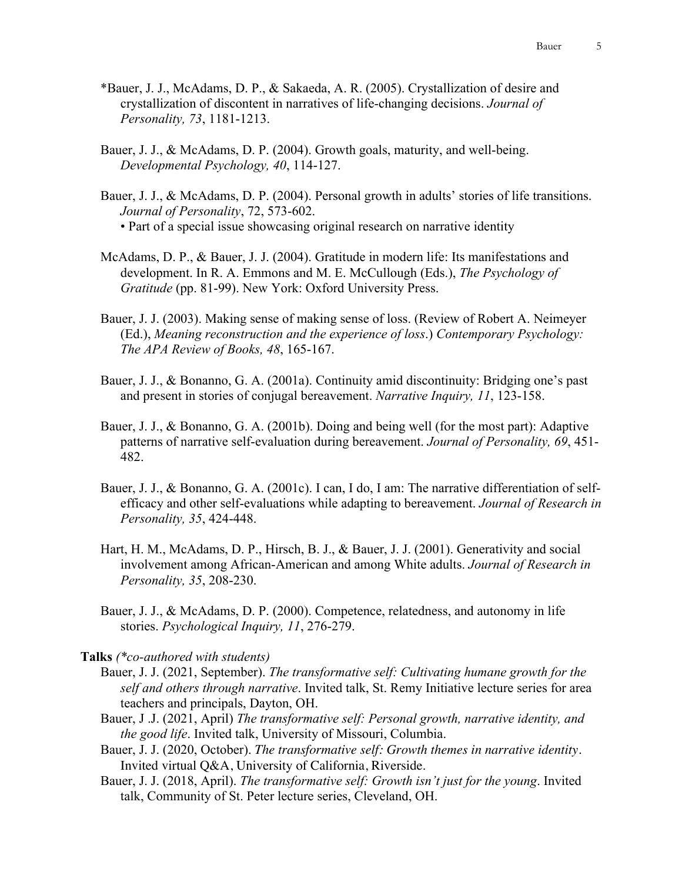- \*Bauer, J. J., McAdams, D. P., & Sakaeda, A. R. (2005). Crystallization of desire and crystallization of discontent in narratives of life-changing decisions. *Journal of Personality, 73*, 1181-1213.
- Bauer, J. J., & McAdams, D. P. (2004). Growth goals, maturity, and well-being. *Developmental Psychology, 40*, 114-127.
- Bauer, J. J., & McAdams, D. P. (2004). Personal growth in adults' stories of life transitions. *Journal of Personality*, 72, 573-602.

• Part of a special issue showcasing original research on narrative identity

- McAdams, D. P., & Bauer, J. J. (2004). Gratitude in modern life: Its manifestations and development. In R. A. Emmons and M. E. McCullough (Eds.), *The Psychology of Gratitude* (pp. 81-99). New York: Oxford University Press.
- Bauer, J. J. (2003). Making sense of making sense of loss. (Review of Robert A. Neimeyer (Ed.), *Meaning reconstruction and the experience of loss*.) *Contemporary Psychology: The APA Review of Books, 48*, 165-167.
- Bauer, J. J., & Bonanno, G. A. (2001a). Continuity amid discontinuity: Bridging one's past and present in stories of conjugal bereavement. *Narrative Inquiry, 11*, 123-158.
- Bauer, J. J., & Bonanno, G. A. (2001b). Doing and being well (for the most part): Adaptive patterns of narrative self-evaluation during bereavement. *Journal of Personality, 69*, 451- 482.
- Bauer, J. J., & Bonanno, G. A. (2001c). I can, I do, I am: The narrative differentiation of selfefficacy and other self-evaluations while adapting to bereavement. *Journal of Research in Personality, 35*, 424-448.
- Hart, H. M., McAdams, D. P., Hirsch, B. J., & Bauer, J. J. (2001). Generativity and social involvement among African-American and among White adults. *Journal of Research in Personality, 35*, 208-230.
- Bauer, J. J., & McAdams, D. P. (2000). Competence, relatedness, and autonomy in life stories. *Psychological Inquiry, 11*, 276-279.

#### **Talks** *(\*co-authored with students)*

- Bauer, J. J. (2021, September). *The transformative self: Cultivating humane growth for the self and others through narrative*. Invited talk, St. Remy Initiative lecture series for area teachers and principals, Dayton, OH.
- Bauer, J .J. (2021, April) *The transformative self: Personal growth, narrative identity, and the good life*. Invited talk, University of Missouri, Columbia.
- Bauer, J. J. (2020, October). *The transformative self: Growth themes in narrative identity*. Invited virtual Q&A, University of California, Riverside.
- Bauer, J. J. (2018, April). *The transformative self: Growth isn't just for the young*. Invited talk, Community of St. Peter lecture series, Cleveland, OH.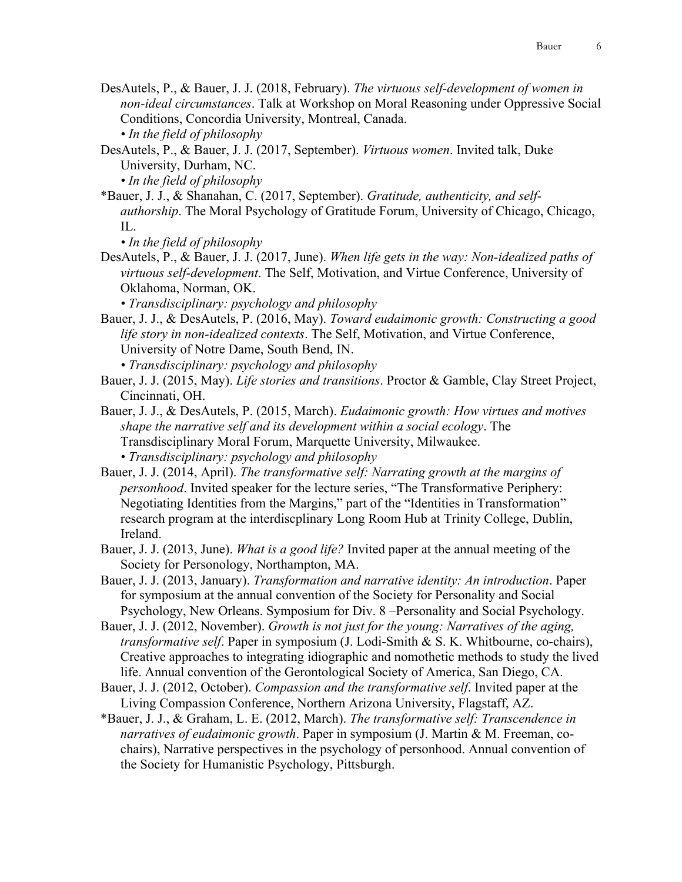- DesAutels, P., & Bauer, J. J. (2018, February). *The virtuous self-development of women in non-ideal circumstances*. Talk at Workshop on Moral Reasoning under Oppressive Social Conditions, Concordia University, Montreal, Canada. *• In the field of philosophy*
- DesAutels, P., & Bauer, J. J. (2017, September). *Virtuous women*. Invited talk, Duke University, Durham, NC.

*• In the field of philosophy*

\*Bauer, J. J., & Shanahan, C. (2017, September). *Gratitude, authenticity, and selfauthorship*. The Moral Psychology of Gratitude Forum, University of Chicago, Chicago, IL.

*• In the field of philosophy*

DesAutels, P., & Bauer, J. J. (2017, June). *When life gets in the way: Non-idealized paths of virtuous self-development*. The Self, Motivation, and Virtue Conference, University of Oklahoma, Norman, OK.

*• Transdisciplinary: psychology and philosophy*

Bauer, J. J., & DesAutels, P. (2016, May). *Toward eudaimonic growth: Constructing a good life story in non-idealized contexts*. The Self, Motivation, and Virtue Conference, University of Notre Dame, South Bend, IN.

*• Transdisciplinary: psychology and philosophy*

- Bauer, J. J. (2015, May). *Life stories and transitions*. Proctor & Gamble, Clay Street Project, Cincinnati, OH.
- Bauer, J. J., & DesAutels, P. (2015, March). *Eudaimonic growth: How virtues and motives shape the narrative self and its development within a social ecology*. The Transdisciplinary Moral Forum, Marquette University, Milwaukee.

*• Transdisciplinary: psychology and philosophy*

- Bauer, J. J. (2014, April). *The transformative self: Narrating growth at the margins of personhood*. Invited speaker for the lecture series, "The Transformative Periphery: Negotiating Identities from the Margins," part of the "Identities in Transformation" research program at the interdiscplinary Long Room Hub at Trinity College, Dublin, Ireland.
- Bauer, J. J. (2013, June). *What is a good life?* Invited paper at the annual meeting of the Society for Personology, Northampton, MA.
- Bauer, J. J. (2013, January). *Transformation and narrative identity: An introduction*. Paper for symposium at the annual convention of the Society for Personality and Social Psychology, New Orleans. Symposium for Div. 8 –Personality and Social Psychology.
- Bauer, J. J. (2012, November). *Growth is not just for the young: Narratives of the aging, transformative self*. Paper in symposium (J. Lodi-Smith & S. K. Whitbourne, co-chairs), Creative approaches to integrating idiographic and nomothetic methods to study the lived life. Annual convention of the Gerontological Society of America, San Diego, CA.
- Bauer, J. J. (2012, October). *Compassion and the transformative self*. Invited paper at the Living Compassion Conference, Northern Arizona University, Flagstaff, AZ.
- \*Bauer, J. J., & Graham, L. E. (2012, March). *The transformative self: Transcendence in narratives of eudaimonic growth*. Paper in symposium (J. Martin & M. Freeman, cochairs), Narrative perspectives in the psychology of personhood. Annual convention of the Society for Humanistic Psychology, Pittsburgh.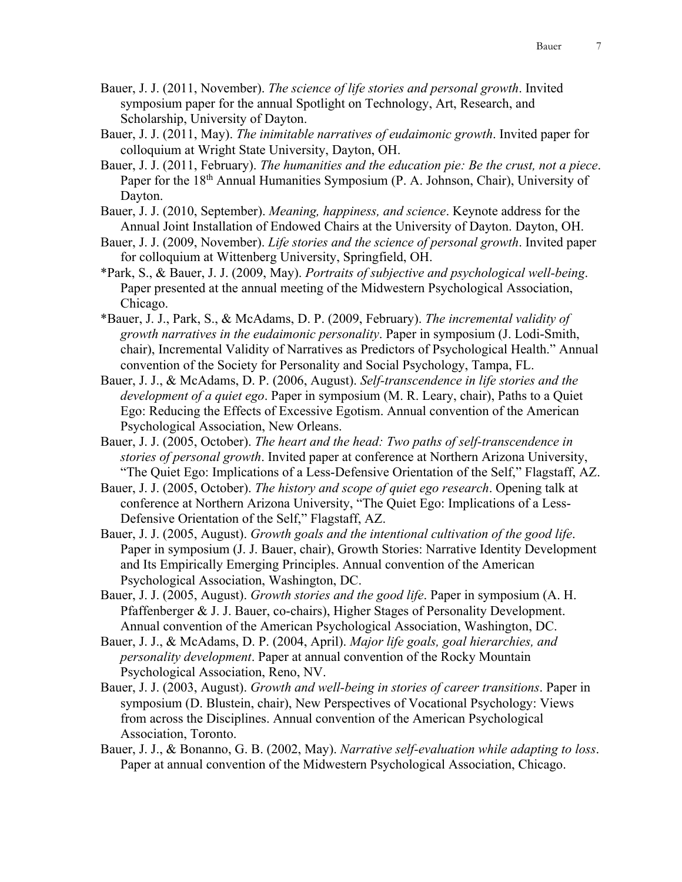- Bauer, J. J. (2011, November). *The science of life stories and personal growth*. Invited symposium paper for the annual Spotlight on Technology, Art, Research, and Scholarship, University of Dayton.
- Bauer, J. J. (2011, May). *The inimitable narratives of eudaimonic growth*. Invited paper for colloquium at Wright State University, Dayton, OH.
- Bauer, J. J. (2011, February). *The humanities and the education pie: Be the crust, not a piece*. Paper for the 18th Annual Humanities Symposium (P. A. Johnson, Chair), University of Dayton.
- Bauer, J. J. (2010, September). *Meaning, happiness, and science*. Keynote address for the Annual Joint Installation of Endowed Chairs at the University of Dayton. Dayton, OH.
- Bauer, J. J. (2009, November). *Life stories and the science of personal growth*. Invited paper for colloquium at Wittenberg University, Springfield, OH.
- \*Park, S., & Bauer, J. J. (2009, May). *Portraits of subjective and psychological well-being*. Paper presented at the annual meeting of the Midwestern Psychological Association, Chicago.
- \*Bauer, J. J., Park, S., & McAdams, D. P. (2009, February). *The incremental validity of growth narratives in the eudaimonic personality*. Paper in symposium (J. Lodi-Smith, chair), Incremental Validity of Narratives as Predictors of Psychological Health." Annual convention of the Society for Personality and Social Psychology, Tampa, FL.
- Bauer, J. J., & McAdams, D. P. (2006, August). *Self-transcendence in life stories and the development of a quiet ego*. Paper in symposium (M. R. Leary, chair), Paths to a Quiet Ego: Reducing the Effects of Excessive Egotism. Annual convention of the American Psychological Association, New Orleans.
- Bauer, J. J. (2005, October). *The heart and the head: Two paths of self-transcendence in stories of personal growth*. Invited paper at conference at Northern Arizona University, "The Quiet Ego: Implications of a Less-Defensive Orientation of the Self," Flagstaff, AZ.
- Bauer, J. J. (2005, October). *The history and scope of quiet ego research*. Opening talk at conference at Northern Arizona University, "The Quiet Ego: Implications of a Less-Defensive Orientation of the Self," Flagstaff, AZ.
- Bauer, J. J. (2005, August). *Growth goals and the intentional cultivation of the good life*. Paper in symposium (J. J. Bauer, chair), Growth Stories: Narrative Identity Development and Its Empirically Emerging Principles. Annual convention of the American Psychological Association, Washington, DC.
- Bauer, J. J. (2005, August). *Growth stories and the good life*. Paper in symposium (A. H. Pfaffenberger & J. J. Bauer, co-chairs), Higher Stages of Personality Development. Annual convention of the American Psychological Association, Washington, DC.
- Bauer, J. J., & McAdams, D. P. (2004, April). *Major life goals, goal hierarchies, and personality development*. Paper at annual convention of the Rocky Mountain Psychological Association, Reno, NV.
- Bauer, J. J. (2003, August). *Growth and well-being in stories of career transitions*. Paper in symposium (D. Blustein, chair), New Perspectives of Vocational Psychology: Views from across the Disciplines. Annual convention of the American Psychological Association, Toronto.
- Bauer, J. J., & Bonanno, G. B. (2002, May). *Narrative self-evaluation while adapting to loss*. Paper at annual convention of the Midwestern Psychological Association, Chicago.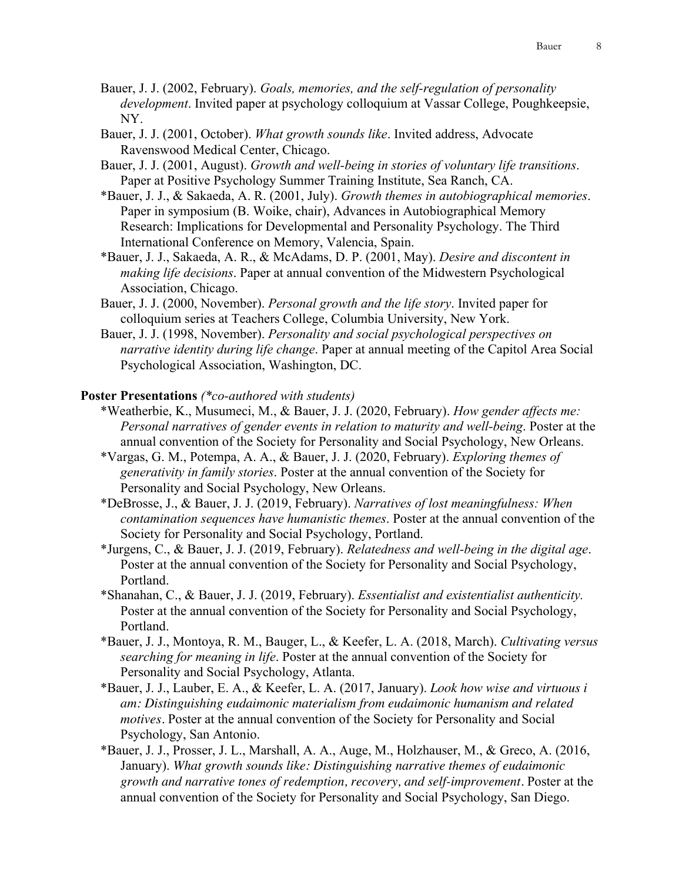- Bauer, J. J. (2002, February). *Goals, memories, and the self-regulation of personality development*. Invited paper at psychology colloquium at Vassar College, Poughkeepsie, NY.
- Bauer, J. J. (2001, October). *What growth sounds like*. Invited address, Advocate Ravenswood Medical Center, Chicago.
- Bauer, J. J. (2001, August). *Growth and well-being in stories of voluntary life transitions*. Paper at Positive Psychology Summer Training Institute, Sea Ranch, CA.
- \*Bauer, J. J., & Sakaeda, A. R. (2001, July). *Growth themes in autobiographical memories*. Paper in symposium (B. Woike, chair), Advances in Autobiographical Memory Research: Implications for Developmental and Personality Psychology. The Third International Conference on Memory, Valencia, Spain.
- \*Bauer, J. J., Sakaeda, A. R., & McAdams, D. P. (2001, May). *Desire and discontent in making life decisions*. Paper at annual convention of the Midwestern Psychological Association, Chicago.
- Bauer, J. J. (2000, November). *Personal growth and the life story*. Invited paper for colloquium series at Teachers College, Columbia University, New York.
- Bauer, J. J. (1998, November). *Personality and social psychological perspectives on narrative identity during life change*. Paper at annual meeting of the Capitol Area Social Psychological Association, Washington, DC.

#### **Poster Presentations** *(\*co-authored with students)*

- \*Weatherbie, K., Musumeci, M., & Bauer, J. J. (2020, February). *How gender affects me: Personal narratives of gender events in relation to maturity and well-being*. Poster at the annual convention of the Society for Personality and Social Psychology, New Orleans.
- \*Vargas, G. M., Potempa, A. A., & Bauer, J. J. (2020, February). *Exploring themes of generativity in family stories*. Poster at the annual convention of the Society for Personality and Social Psychology, New Orleans.
- \*DeBrosse, J., & Bauer, J. J. (2019, February). *Narratives of lost meaningfulness: When contamination sequences have humanistic themes*. Poster at the annual convention of the Society for Personality and Social Psychology, Portland.
- \*Jurgens, C., & Bauer, J. J. (2019, February). *Relatedness and well-being in the digital age*. Poster at the annual convention of the Society for Personality and Social Psychology, Portland.
- \*Shanahan, C., & Bauer, J. J. (2019, February). *Essentialist and existentialist authenticity.* Poster at the annual convention of the Society for Personality and Social Psychology, Portland.
- \*Bauer, J. J., Montoya, R. M., Bauger, L., & Keefer, L. A. (2018, March). *Cultivating versus searching for meaning in life*. Poster at the annual convention of the Society for Personality and Social Psychology, Atlanta.
- \*Bauer, J. J., Lauber, E. A., & Keefer, L. A. (2017, January). *Look how wise and virtuous i am: Distinguishing eudaimonic materialism from eudaimonic humanism and related motives*. Poster at the annual convention of the Society for Personality and Social Psychology, San Antonio.
- \*Bauer, J. J., Prosser, J. L., Marshall, A. A., Auge, M., Holzhauser, M., & Greco, A. (2016, January). *What growth sounds like: Distinguishing narrative themes of eudaimonic growth and narrative tones of redemption, recovery, and self-improvement*. Poster at the annual convention of the Society for Personality and Social Psychology, San Diego.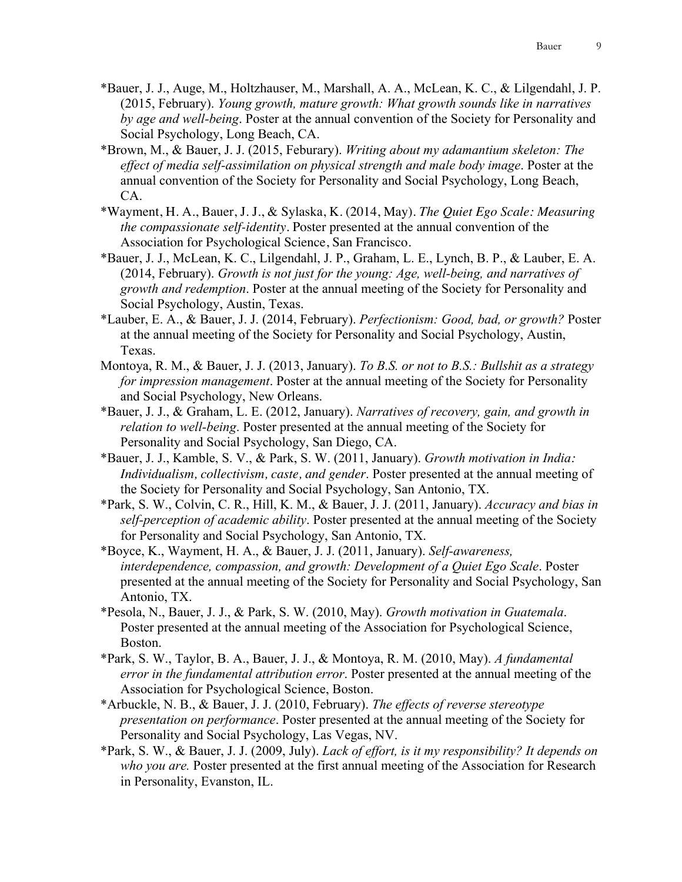- \*Bauer, J. J., Auge, M., Holtzhauser, M., Marshall, A. A., McLean, K. C., & Lilgendahl, J. P. (2015, February). *Young growth, mature growth: What growth sounds like in narratives by age and well-being*. Poster at the annual convention of the Society for Personality and Social Psychology, Long Beach, CA.
- \*Brown, M., & Bauer, J. J. (2015, Feburary). *Writing about my adamantium skeleton: The effect of media self-assimilation on physical strength and male body image*. Poster at the annual convention of the Society for Personality and Social Psychology, Long Beach, CA.
- \*Wayment, H. A., Bauer, J. J., & Sylaska, K. (2014, May). *The Quiet Ego Scale: Measuring the compassionate self-identity*. Poster presented at the annual convention of the Association for Psychological Science, San Francisco.
- \*Bauer, J. J., McLean, K. C., Lilgendahl, J. P., Graham, L. E., Lynch, B. P., & Lauber, E. A. (2014, February). *Growth is not just for the young: Age, well-being, and narratives of growth and redemption*. Poster at the annual meeting of the Society for Personality and Social Psychology, Austin, Texas.
- \*Lauber, E. A., & Bauer, J. J. (2014, February). *Perfectionism: Good, bad, or growth?* Poster at the annual meeting of the Society for Personality and Social Psychology, Austin, Texas.
- Montoya, R. M., & Bauer, J. J. (2013, January). *To B.S. or not to B.S.: Bullshit as a strategy for impression management*. Poster at the annual meeting of the Society for Personality and Social Psychology, New Orleans.
- \*Bauer, J. J., & Graham, L. E. (2012, January). *Narratives of recovery, gain, and growth in relation to well-being*. Poster presented at the annual meeting of the Society for Personality and Social Psychology, San Diego, CA.
- \*Bauer, J. J., Kamble, S. V., & Park, S. W. (2011, January). *Growth motivation in India: Individualism, collectivism, caste, and gender*. Poster presented at the annual meeting of the Society for Personality and Social Psychology, San Antonio, TX.
- \*Park, S. W., Colvin, C. R., Hill, K. M., & Bauer, J. J. (2011, January). *Accuracy and bias in self-perception of academic ability*. Poster presented at the annual meeting of the Society for Personality and Social Psychology, San Antonio, TX.
- \*Boyce, K., Wayment, H. A., & Bauer, J. J. (2011, January). *Self-awareness, interdependence, compassion, and growth: Development of a Quiet Ego Scale*. Poster presented at the annual meeting of the Society for Personality and Social Psychology, San Antonio, TX.
- \*Pesola, N., Bauer, J. J., & Park, S. W. (2010, May). *Growth motivation in Guatemala*. Poster presented at the annual meeting of the Association for Psychological Science, Boston.
- \*Park, S. W., Taylor, B. A., Bauer, J. J., & Montoya, R. M. (2010, May). *A fundamental error in the fundamental attribution error*. Poster presented at the annual meeting of the Association for Psychological Science, Boston.
- \*Arbuckle, N. B., & Bauer, J. J. (2010, February). *The effects of reverse stereotype presentation on performance*. Poster presented at the annual meeting of the Society for Personality and Social Psychology, Las Vegas, NV.
- \*Park, S. W., & Bauer, J. J. (2009, July). *Lack of effort, is it my responsibility? It depends on who you are.* Poster presented at the first annual meeting of the Association for Research in Personality, Evanston, IL.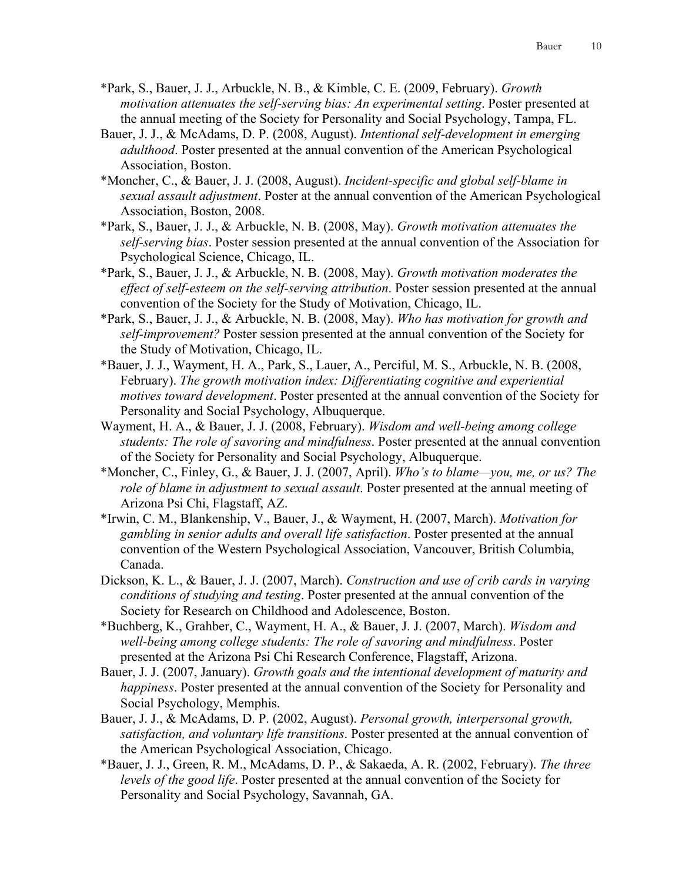- \*Park, S., Bauer, J. J., Arbuckle, N. B., & Kimble, C. E. (2009, February). *Growth motivation attenuates the self-serving bias: An experimental setting*. Poster presented at the annual meeting of the Society for Personality and Social Psychology, Tampa, FL.
- Bauer, J. J., & McAdams, D. P. (2008, August). *Intentional self-development in emerging adulthood*. Poster presented at the annual convention of the American Psychological Association, Boston.
- \*Moncher, C., & Bauer, J. J. (2008, August). *Incident-specific and global self-blame in sexual assault adjustment*. Poster at the annual convention of the American Psychological Association, Boston, 2008.
- \*Park, S., Bauer, J. J., & Arbuckle, N. B. (2008, May). *Growth motivation attenuates the self-serving bias*. Poster session presented at the annual convention of the Association for Psychological Science, Chicago, IL.
- \*Park, S., Bauer, J. J., & Arbuckle, N. B. (2008, May). *Growth motivation moderates the effect of self-esteem on the self-serving attribution*. Poster session presented at the annual convention of the Society for the Study of Motivation, Chicago, IL.
- \*Park, S., Bauer, J. J., & Arbuckle, N. B. (2008, May). *Who has motivation for growth and self-improvement?* Poster session presented at the annual convention of the Society for the Study of Motivation, Chicago, IL.
- \*Bauer, J. J., Wayment, H. A., Park, S., Lauer, A., Perciful, M. S., Arbuckle, N. B. (2008, February). *The growth motivation index: Differentiating cognitive and experiential motives toward development*. Poster presented at the annual convention of the Society for Personality and Social Psychology, Albuquerque.
- Wayment, H. A., & Bauer, J. J. (2008, February). *Wisdom and well-being among college students: The role of savoring and mindfulness*. Poster presented at the annual convention of the Society for Personality and Social Psychology, Albuquerque.
- \*Moncher, C., Finley, G., & Bauer, J. J. (2007, April). *Who's to blame—you, me, or us? The role of blame in adjustment to sexual assault*. Poster presented at the annual meeting of Arizona Psi Chi, Flagstaff, AZ.
- \*Irwin, C. M., Blankenship, V., Bauer, J., & Wayment, H. (2007, March). *Motivation for gambling in senior adults and overall life satisfaction*. Poster presented at the annual convention of the Western Psychological Association, Vancouver, British Columbia, Canada.
- Dickson, K. L., & Bauer, J. J. (2007, March). *Construction and use of crib cards in varying conditions of studying and testing*. Poster presented at the annual convention of the Society for Research on Childhood and Adolescence, Boston.
- \*Buchberg, K., Grahber, C., Wayment, H. A., & Bauer, J. J. (2007, March). *Wisdom and well-being among college students: The role of savoring and mindfulness*. Poster presented at the Arizona Psi Chi Research Conference, Flagstaff, Arizona.
- Bauer, J. J. (2007, January). *Growth goals and the intentional development of maturity and happiness*. Poster presented at the annual convention of the Society for Personality and Social Psychology, Memphis.
- Bauer, J. J., & McAdams, D. P. (2002, August). *Personal growth, interpersonal growth, satisfaction, and voluntary life transitions*. Poster presented at the annual convention of the American Psychological Association, Chicago.
- \*Bauer, J. J., Green, R. M., McAdams, D. P., & Sakaeda, A. R. (2002, February). *The three levels of the good life*. Poster presented at the annual convention of the Society for Personality and Social Psychology, Savannah, GA.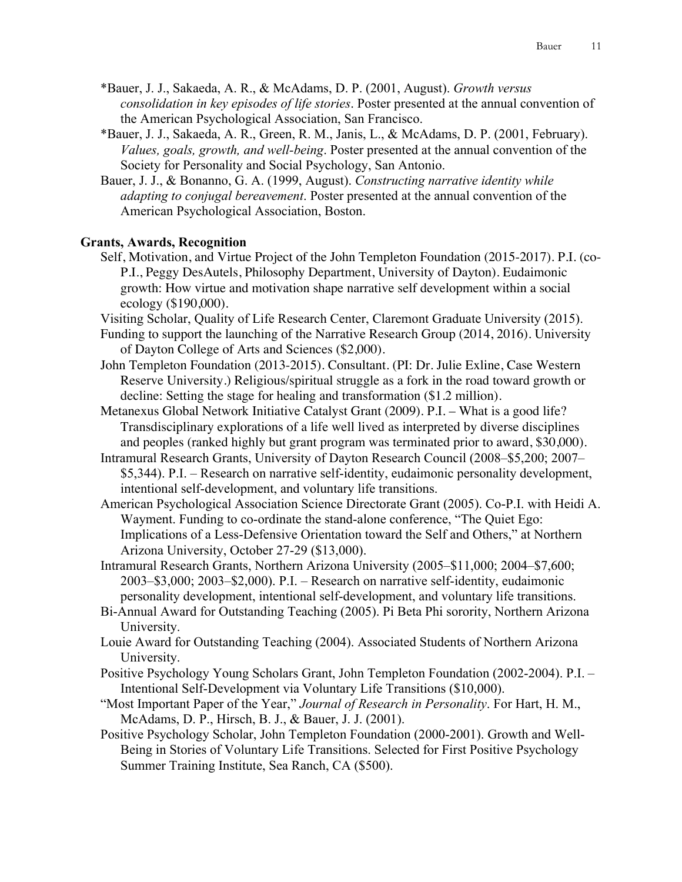- \*Bauer, J. J., Sakaeda, A. R., & McAdams, D. P. (2001, August). *Growth versus consolidation in key episodes of life stories*. Poster presented at the annual convention of the American Psychological Association, San Francisco.
- \*Bauer, J. J., Sakaeda, A. R., Green, R. M., Janis, L., & McAdams, D. P. (2001, February). *Values, goals, growth, and well-being*. Poster presented at the annual convention of the Society for Personality and Social Psychology, San Antonio.
- Bauer, J. J., & Bonanno, G. A. (1999, August). *Constructing narrative identity while adapting to conjugal bereavement*. Poster presented at the annual convention of the American Psychological Association, Boston.

### **Grants, Awards, Recognition**

- Self, Motivation, and Virtue Project of the John Templeton Foundation (2015-2017). P.I. (co-P.I., Peggy DesAutels, Philosophy Department, University of Dayton). Eudaimonic growth: How virtue and motivation shape narrative self development within a social ecology (\$190,000).
- Visiting Scholar, Quality of Life Research Center, Claremont Graduate University (2015).
- Funding to support the launching of the Narrative Research Group (2014, 2016). University of Dayton College of Arts and Sciences (\$2,000).
- John Templeton Foundation (2013-2015). Consultant. (PI: Dr. Julie Exline, Case Western Reserve University.) Religious/spiritual struggle as a fork in the road toward growth or decline: Setting the stage for healing and transformation (\$1.2 million).
- Metanexus Global Network Initiative Catalyst Grant (2009). P.I. What is a good life? Transdisciplinary explorations of a life well lived as interpreted by diverse disciplines and peoples (ranked highly but grant program was terminated prior to award, \$30,000).
- Intramural Research Grants, University of Dayton Research Council (2008–\$5,200; 2007– \$5,344). P.I. – Research on narrative self-identity, eudaimonic personality development, intentional self-development, and voluntary life transitions.
- American Psychological Association Science Directorate Grant (2005). Co-P.I. with Heidi A. Wayment. Funding to co-ordinate the stand-alone conference, "The Quiet Ego: Implications of a Less-Defensive Orientation toward the Self and Others," at Northern Arizona University, October 27-29 (\$13,000).
- Intramural Research Grants, Northern Arizona University (2005–\$11,000; 2004–\$7,600; 2003–\$3,000; 2003–\$2,000). P.I. – Research on narrative self-identity, eudaimonic personality development, intentional self-development, and voluntary life transitions.
- Bi-Annual Award for Outstanding Teaching (2005). Pi Beta Phi sorority, Northern Arizona University.
- Louie Award for Outstanding Teaching (2004). Associated Students of Northern Arizona University.
- Positive Psychology Young Scholars Grant, John Templeton Foundation (2002-2004). P.I. Intentional Self-Development via Voluntary Life Transitions (\$10,000).
- "Most Important Paper of the Year," *Journal of Research in Personality*. For Hart, H. M., McAdams, D. P., Hirsch, B. J., & Bauer, J. J. (2001).
- Positive Psychology Scholar, John Templeton Foundation (2000-2001). Growth and Well-Being in Stories of Voluntary Life Transitions. Selected for First Positive Psychology Summer Training Institute, Sea Ranch, CA (\$500).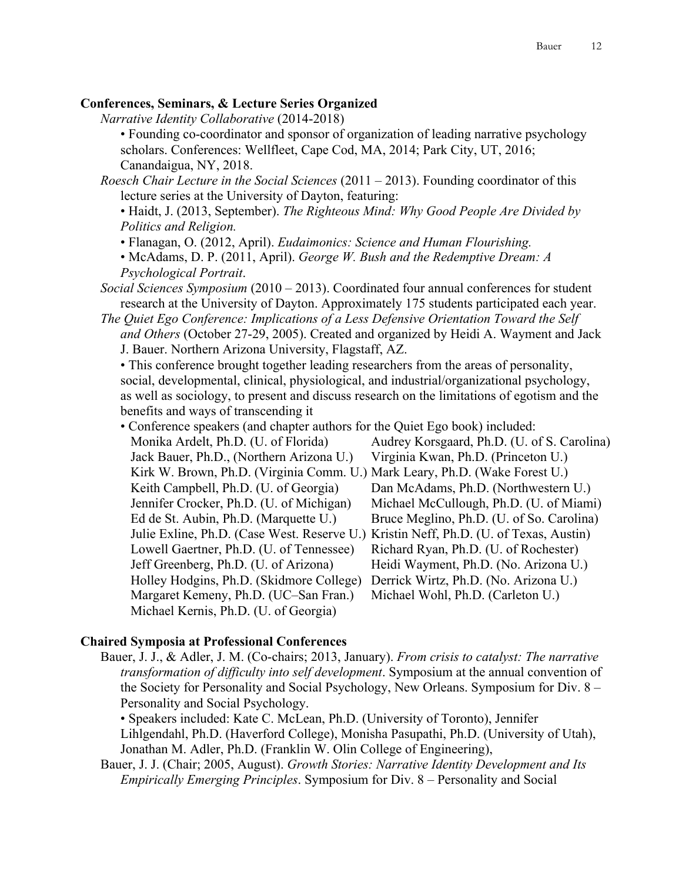### **Conferences, Seminars, & Lecture Series Organized**

*Narrative Identity Collaborative* (2014-2018)

• Founding co-coordinator and sponsor of organization of leading narrative psychology scholars. Conferences: Wellfleet, Cape Cod, MA, 2014; Park City, UT, 2016; Canandaigua, NY, 2018.

*Roesch Chair Lecture in the Social Sciences* (2011 – 2013). Founding coordinator of this lecture series at the University of Dayton, featuring:

• Haidt, J. (2013, September). *The Righteous Mind: Why Good People Are Divided by Politics and Religion.*

• Flanagan, O. (2012, April). *Eudaimonics: Science and Human Flourishing.*

• McAdams, D. P. (2011, April). *George W. Bush and the Redemptive Dream: A Psychological Portrait*.

*Social Sciences Symposium* (2010 – 2013). Coordinated four annual conferences for student research at the University of Dayton. Approximately 175 students participated each year.

*The Quiet Ego Conference: Implications of a Less Defensive Orientation Toward the Self and Others* (October 27-29, 2005). Created and organized by Heidi A. Wayment and Jack

J. Bauer. Northern Arizona University, Flagstaff, AZ.

• This conference brought together leading researchers from the areas of personality, social, developmental, clinical, physiological, and industrial/organizational psychology, as well as sociology, to present and discuss research on the limitations of egotism and the benefits and ways of transcending it

| • Conference speakers (and chapter authors for the Quiet Ego book) included: |                                                                                       |                                             |
|------------------------------------------------------------------------------|---------------------------------------------------------------------------------------|---------------------------------------------|
|                                                                              | Monika Ardelt, Ph.D. (U. of Florida)                                                  | Audrey Korsgaard, Ph.D. (U. of S. Carolina) |
|                                                                              | Jack Bauer, Ph.D., (Northern Arizona U.)                                              | Virginia Kwan, Ph.D. (Princeton U.)         |
|                                                                              | Kirk W. Brown, Ph.D. (Virginia Comm. U.) Mark Leary, Ph.D. (Wake Forest U.)           |                                             |
|                                                                              | Keith Campbell, Ph.D. (U. of Georgia)                                                 | Dan McAdams, Ph.D. (Northwestern U.)        |
|                                                                              | Jennifer Crocker, Ph.D. (U. of Michigan)                                              | Michael McCullough, Ph.D. (U. of Miami)     |
|                                                                              | Ed de St. Aubin, Ph.D. (Marquette U.)                                                 | Bruce Meglino, Ph.D. (U. of So. Carolina)   |
|                                                                              | Julie Exline, Ph.D. (Case West. Reserve U.) Kristin Neff, Ph.D. (U. of Texas, Austin) |                                             |
|                                                                              | Lowell Gaertner, Ph.D. (U. of Tennessee)                                              | Richard Ryan, Ph.D. (U. of Rochester)       |
|                                                                              | Jeff Greenberg, Ph.D. (U. of Arizona)                                                 | Heidi Wayment, Ph.D. (No. Arizona U.)       |
|                                                                              | Holley Hodgins, Ph.D. (Skidmore College)                                              | Derrick Wirtz, Ph.D. (No. Arizona U.)       |
|                                                                              | Margaret Kemeny, Ph.D. (UC-San Fran.)                                                 | Michael Wohl, Ph.D. (Carleton U.)           |
|                                                                              | Michael Kernis, Ph.D. (U. of Georgia)                                                 |                                             |

#### **Chaired Symposia at Professional Conferences**

Bauer, J. J., & Adler, J. M. (Co-chairs; 2013, January). *From crisis to catalyst: The narrative transformation of difficulty into self development*. Symposium at the annual convention of the Society for Personality and Social Psychology, New Orleans. Symposium for Div. 8 – Personality and Social Psychology.

• Speakers included: Kate C. McLean, Ph.D. (University of Toronto), Jennifer Lihlgendahl, Ph.D. (Haverford College), Monisha Pasupathi, Ph.D. (University of Utah), Jonathan M. Adler, Ph.D. (Franklin W. Olin College of Engineering),

Bauer, J. J. (Chair; 2005, August). *Growth Stories: Narrative Identity Development and Its Empirically Emerging Principles*. Symposium for Div. 8 – Personality and Social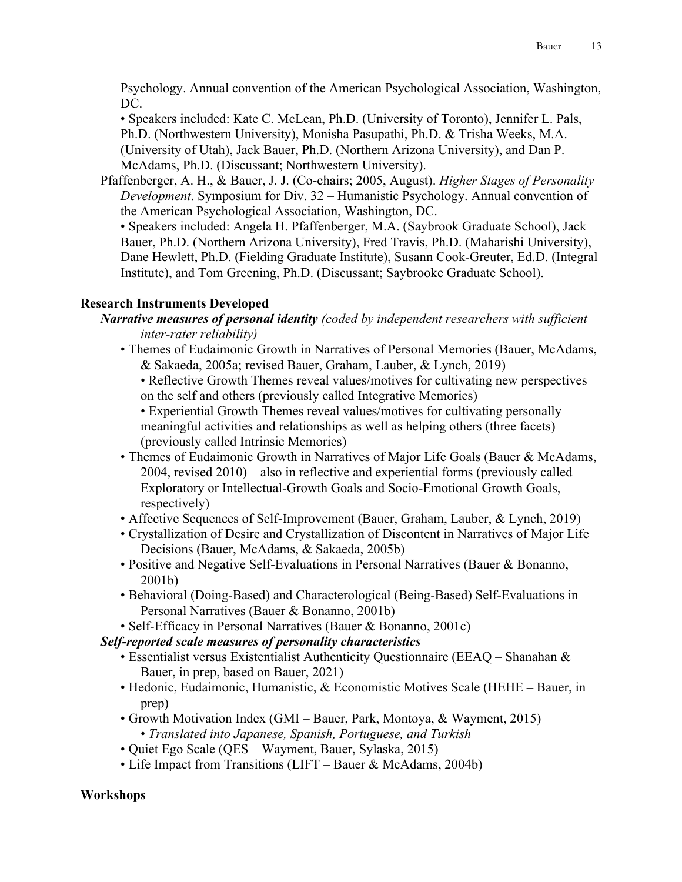Psychology. Annual convention of the American Psychological Association, Washington, DC.

• Speakers included: Kate C. McLean, Ph.D. (University of Toronto), Jennifer L. Pals, Ph.D. (Northwestern University), Monisha Pasupathi, Ph.D. & Trisha Weeks, M.A. (University of Utah), Jack Bauer, Ph.D. (Northern Arizona University), and Dan P. McAdams, Ph.D. (Discussant; Northwestern University).

Pfaffenberger, A. H., & Bauer, J. J. (Co-chairs; 2005, August). *Higher Stages of Personality Development*. Symposium for Div. 32 – Humanistic Psychology. Annual convention of the American Psychological Association, Washington, DC.

• Speakers included: Angela H. Pfaffenberger, M.A. (Saybrook Graduate School), Jack Bauer, Ph.D. (Northern Arizona University), Fred Travis, Ph.D. (Maharishi University), Dane Hewlett, Ph.D. (Fielding Graduate Institute), Susann Cook-Greuter, Ed.D. (Integral Institute), and Tom Greening, Ph.D. (Discussant; Saybrooke Graduate School).

### **Research Instruments Developed**

- *Narrative measures of personal identity (coded by independent researchers with sufficient inter-rater reliability)*
	- Themes of Eudaimonic Growth in Narratives of Personal Memories (Bauer, McAdams, & Sakaeda, 2005a; revised Bauer, Graham, Lauber, & Lynch, 2019)

• Reflective Growth Themes reveal values/motives for cultivating new perspectives on the self and others (previously called Integrative Memories)

• Experiential Growth Themes reveal values/motives for cultivating personally meaningful activities and relationships as well as helping others (three facets) (previously called Intrinsic Memories)

- Themes of Eudaimonic Growth in Narratives of Major Life Goals (Bauer & McAdams, 2004, revised 2010) – also in reflective and experiential forms (previously called Exploratory or Intellectual-Growth Goals and Socio-Emotional Growth Goals, respectively)
- Affective Sequences of Self-Improvement (Bauer, Graham, Lauber, & Lynch, 2019)
- Crystallization of Desire and Crystallization of Discontent in Narratives of Major Life Decisions (Bauer, McAdams, & Sakaeda, 2005b)
- Positive and Negative Self-Evaluations in Personal Narratives (Bauer & Bonanno, 2001b)
- Behavioral (Doing-Based) and Characterological (Being-Based) Self-Evaluations in Personal Narratives (Bauer & Bonanno, 2001b)
- Self-Efficacy in Personal Narratives (Bauer & Bonanno, 2001c)

*Self-reported scale measures of personality characteristics*

- Essentialist versus Existentialist Authenticity Questionnaire (EEAQ Shanahan & Bauer, in prep, based on Bauer, 2021)
- Hedonic, Eudaimonic, Humanistic, & Economistic Motives Scale (HEHE Bauer, in prep)
- Growth Motivation Index (GMI Bauer, Park, Montoya, & Wayment, 2015) • *Translated into Japanese, Spanish, Portuguese, and Turkish*
- Quiet Ego Scale (QES Wayment, Bauer, Sylaska, 2015)
- Life Impact from Transitions (LIFT Bauer & McAdams, 2004b)

### **Workshops**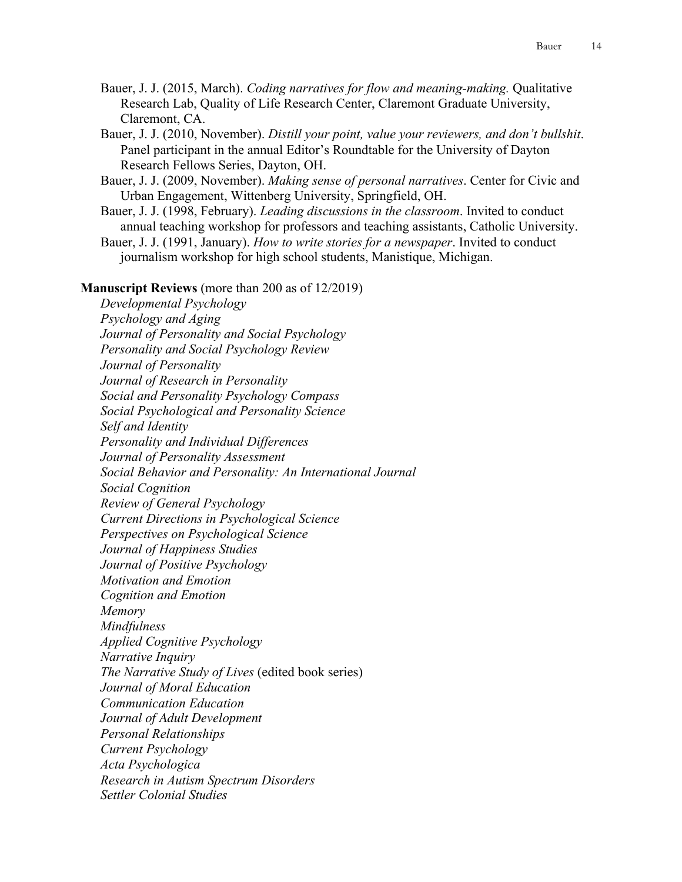- Bauer, J. J. (2015, March). *Coding narratives for flow and meaning-making.* Qualitative Research Lab, Quality of Life Research Center, Claremont Graduate University, Claremont, CA.
- Bauer, J. J. (2010, November). *Distill your point, value your reviewers, and don't bullshit*. Panel participant in the annual Editor's Roundtable for the University of Dayton Research Fellows Series, Dayton, OH.
- Bauer, J. J. (2009, November). *Making sense of personal narratives*. Center for Civic and Urban Engagement, Wittenberg University, Springfield, OH.
- Bauer, J. J. (1998, February). *Leading discussions in the classroom*. Invited to conduct annual teaching workshop for professors and teaching assistants, Catholic University.
- Bauer, J. J. (1991, January). *How to write stories for a newspaper*. Invited to conduct journalism workshop for high school students, Manistique, Michigan.

#### **Manuscript Reviews** (more than 200 as of 12/2019)

*Developmental Psychology Psychology and Aging Journal of Personality and Social Psychology Personality and Social Psychology Review Journal of Personality Journal of Research in Personality Social and Personality Psychology Compass Social Psychological and Personality Science Self and Identity Personality and Individual Differences Journal of Personality Assessment Social Behavior and Personality: An International Journal Social Cognition Review of General Psychology Current Directions in Psychological Science Perspectives on Psychological Science Journal of Happiness Studies Journal of Positive Psychology Motivation and Emotion Cognition and Emotion Memory Mindfulness Applied Cognitive Psychology Narrative Inquiry The Narrative Study of Lives* (edited book series) *Journal of Moral Education Communication Education Journal of Adult Development Personal Relationships Current Psychology Acta Psychologica Research in Autism Spectrum Disorders Settler Colonial Studies*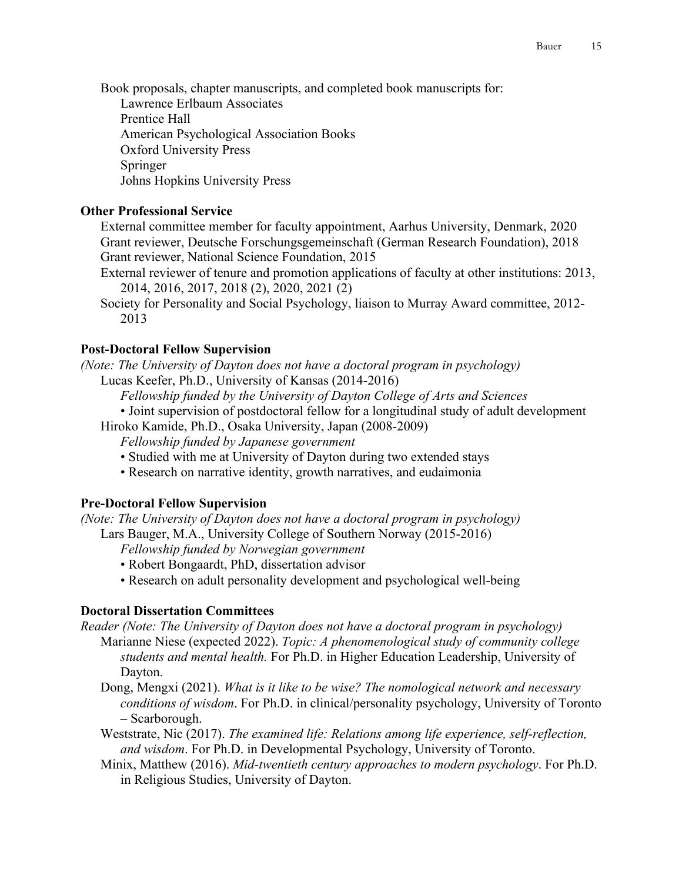Book proposals, chapter manuscripts, and completed book manuscripts for: Lawrence Erlbaum Associates Prentice Hall

American Psychological Association Books

Oxford University Press

Springer

Johns Hopkins University Press

# **Other Professional Service**

External committee member for faculty appointment, Aarhus University, Denmark, 2020 Grant reviewer, Deutsche Forschungsgemeinschaft (German Research Foundation), 2018 Grant reviewer, National Science Foundation, 2015

- External reviewer of tenure and promotion applications of faculty at other institutions: 2013, 2014, 2016, 2017, 2018 (2), 2020, 2021 (2)
- Society for Personality and Social Psychology, liaison to Murray Award committee, 2012- 2013

# **Post-Doctoral Fellow Supervision**

*(Note: The University of Dayton does not have a doctoral program in psychology)* Lucas Keefer, Ph.D., University of Kansas (2014-2016)

*Fellowship funded by the University of Dayton College of Arts and Sciences*

- Joint supervision of postdoctoral fellow for a longitudinal study of adult development
- Hiroko Kamide, Ph.D., Osaka University, Japan (2008-2009)

*Fellowship funded by Japanese government*

- Studied with me at University of Dayton during two extended stays
- Research on narrative identity, growth narratives, and eudaimonia

# **Pre-Doctoral Fellow Supervision**

*(Note: The University of Dayton does not have a doctoral program in psychology)* Lars Bauger, M.A., University College of Southern Norway (2015-2016)

- *Fellowship funded by Norwegian government*
- Robert Bongaardt, PhD, dissertation advisor
- Research on adult personality development and psychological well-being

# **Doctoral Dissertation Committees**

*Reader (Note: The University of Dayton does not have a doctoral program in psychology)*

Marianne Niese (expected 2022). *Topic: A phenomenological study of community college students and mental health.* For Ph.D. in Higher Education Leadership, University of Dayton.

- Dong, Mengxi (2021). *What is it like to be wise? The nomological network and necessary conditions of wisdom*. For Ph.D. in clinical/personality psychology, University of Toronto – Scarborough.
- Weststrate, Nic (2017). *The examined life: Relations among life experience, self-reflection, and wisdom*. For Ph.D. in Developmental Psychology, University of Toronto.
- Minix, Matthew (2016). *Mid-twentieth century approaches to modern psychology*. For Ph.D. in Religious Studies, University of Dayton.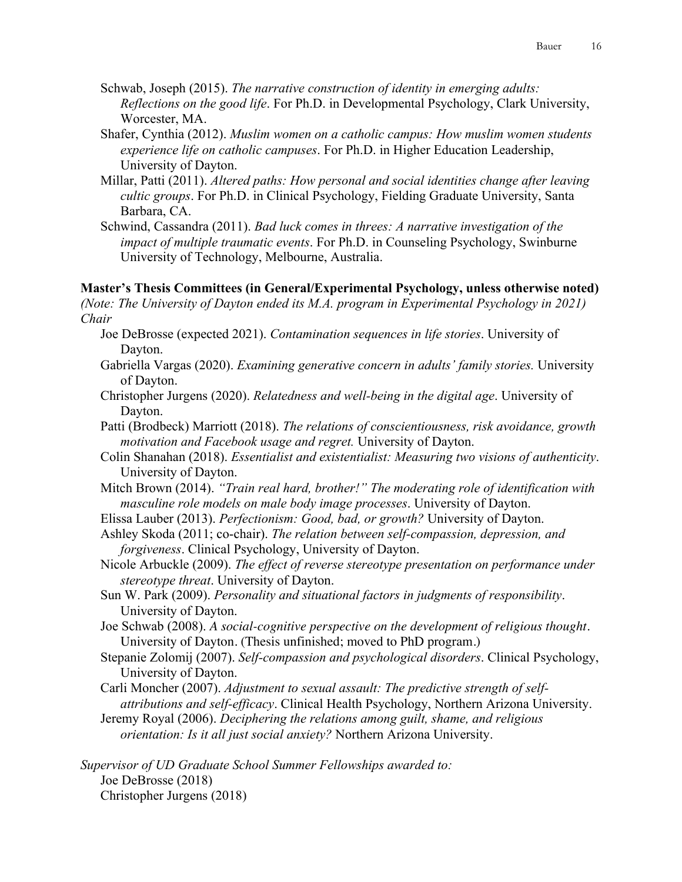- Schwab, Joseph (2015). *The narrative construction of identity in emerging adults: Reflections on the good life*. For Ph.D. in Developmental Psychology, Clark University, Worcester, MA.
- Shafer, Cynthia (2012). *Muslim women on a catholic campus: How muslim women students experience life on catholic campuses*. For Ph.D. in Higher Education Leadership, University of Dayton.
- Millar, Patti (2011). *Altered paths: How personal and social identities change after leaving cultic groups*. For Ph.D. in Clinical Psychology, Fielding Graduate University, Santa Barbara, CA.
- Schwind, Cassandra (2011). *Bad luck comes in threes: A narrative investigation of the impact of multiple traumatic events*. For Ph.D. in Counseling Psychology, Swinburne University of Technology, Melbourne, Australia.

### **Master's Thesis Committees (in General/Experimental Psychology, unless otherwise noted)** *(Note: The University of Dayton ended its M.A. program in Experimental Psychology in 2021)*

*Chair*

- Joe DeBrosse (expected 2021). *Contamination sequences in life stories*. University of Dayton.
- Gabriella Vargas (2020). *Examining generative concern in adults' family stories.* University of Dayton.
- Christopher Jurgens (2020). *Relatedness and well-being in the digital age*. University of Dayton.
- Patti (Brodbeck) Marriott (2018). *The relations of conscientiousness, risk avoidance, growth motivation and Facebook usage and regret.* University of Dayton.
- Colin Shanahan (2018). *Essentialist and existentialist: Measuring two visions of authenticity*. University of Dayton.
- Mitch Brown (2014). *"Train real hard, brother!" The moderating role of identification with masculine role models on male body image processes*. University of Dayton.
- Elissa Lauber (2013). *Perfectionism: Good, bad, or growth?* University of Dayton.
- Ashley Skoda (2011; co-chair). *The relation between self-compassion, depression, and forgiveness*. Clinical Psychology, University of Dayton.
- Nicole Arbuckle (2009). *The effect of reverse stereotype presentation on performance under stereotype threat*. University of Dayton.
- Sun W. Park (2009). *Personality and situational factors in judgments of responsibility*. University of Dayton.
- Joe Schwab (2008). *A social-cognitive perspective on the development of religious thought*. University of Dayton. (Thesis unfinished; moved to PhD program.)
- Stepanie Zolomij (2007). *Self-compassion and psychological disorders*. Clinical Psychology, University of Dayton.
- Carli Moncher (2007). *Adjustment to sexual assault: The predictive strength of selfattributions and self-efficacy*. Clinical Health Psychology, Northern Arizona University.
- Jeremy Royal (2006). *Deciphering the relations among guilt, shame, and religious orientation: Is it all just social anxiety?* Northern Arizona University.

*Supervisor of UD Graduate School Summer Fellowships awarded to:* Joe DeBrosse (2018) Christopher Jurgens (2018)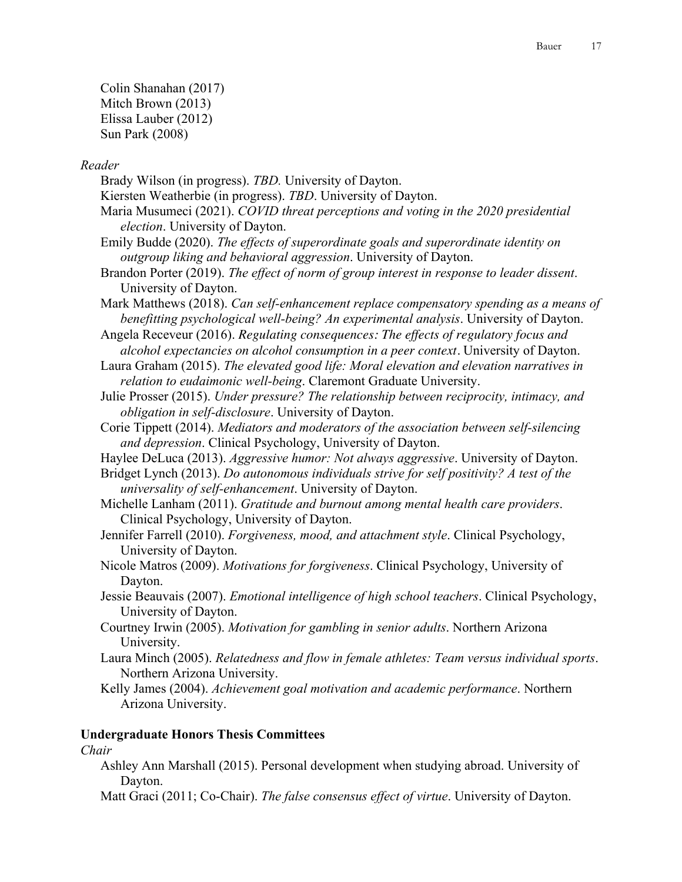Colin Shanahan (2017) Mitch Brown (2013) Elissa Lauber (2012) Sun Park (2008)

### *Reader*

- Brady Wilson (in progress). *TBD.* University of Dayton.
- Kiersten Weatherbie (in progress). *TBD*. University of Dayton.
- Maria Musumeci (2021). *COVID threat perceptions and voting in the 2020 presidential election*. University of Dayton.
- Emily Budde (2020). *The effects of superordinate goals and superordinate identity on outgroup liking and behavioral aggression*. University of Dayton.
- Brandon Porter (2019). *The effect of norm of group interest in response to leader dissent*. University of Dayton.
- Mark Matthews (2018). *Can self-enhancement replace compensatory spending as a means of benefitting psychological well-being? An experimental analysis*. University of Dayton.
- Angela Receveur (2016). *Regulating consequences: The effects of regulatory focus and alcohol expectancies on alcohol consumption in a peer context*. University of Dayton.
- Laura Graham (2015). *The elevated good life: Moral elevation and elevation narratives in relation to eudaimonic well-being*. Claremont Graduate University.
- Julie Prosser (2015). *Under pressure? The relationship between reciprocity, intimacy, and obligation in self-disclosure*. University of Dayton.
- Corie Tippett (2014). *Mediators and moderators of the association between self-silencing and depression*. Clinical Psychology, University of Dayton.
- Haylee DeLuca (2013). *Aggressive humor: Not always aggressive*. University of Dayton.
- Bridget Lynch (2013). *Do autonomous individuals strive for self positivity? A test of the universality of self-enhancement*. University of Dayton.
- Michelle Lanham (2011). *Gratitude and burnout among mental health care providers*. Clinical Psychology, University of Dayton.
- Jennifer Farrell (2010). *Forgiveness, mood, and attachment style*. Clinical Psychology, University of Dayton.
- Nicole Matros (2009). *Motivations for forgiveness*. Clinical Psychology, University of Dayton.
- Jessie Beauvais (2007). *Emotional intelligence of high school teachers*. Clinical Psychology, University of Dayton.
- Courtney Irwin (2005). *Motivation for gambling in senior adults*. Northern Arizona University.
- Laura Minch (2005). *Relatedness and flow in female athletes: Team versus individual sports*. Northern Arizona University.
- Kelly James (2004). *Achievement goal motivation and academic performance*. Northern Arizona University.

### **Undergraduate Honors Thesis Committees**

#### *Chair*

- Ashley Ann Marshall (2015). Personal development when studying abroad. University of Dayton.
- Matt Graci (2011; Co-Chair). *The false consensus effect of virtue*. University of Dayton.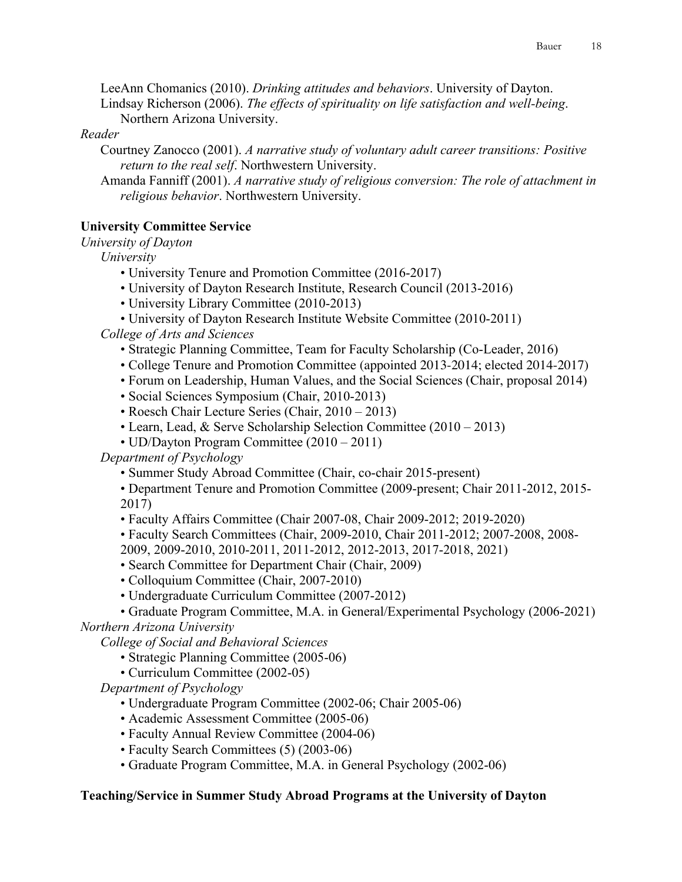LeeAnn Chomanics (2010). *Drinking attitudes and behaviors*. University of Dayton.

Lindsay Richerson (2006). *The effects of spirituality on life satisfaction and well-being*. Northern Arizona University.

# *Reader*

Courtney Zanocco (2001). *A narrative study of voluntary adult career transitions: Positive return to the real self*. Northwestern University.

Amanda Fanniff (2001). *A narrative study of religious conversion: The role of attachment in religious behavior*. Northwestern University.

# **University Committee Service**

*University of Dayton*

*University*

- University Tenure and Promotion Committee (2016-2017)
- University of Dayton Research Institute, Research Council (2013-2016)
- University Library Committee (2010-2013)
- University of Dayton Research Institute Website Committee (2010-2011)

*College of Arts and Sciences*

- Strategic Planning Committee, Team for Faculty Scholarship (Co-Leader, 2016)
- College Tenure and Promotion Committee (appointed 2013-2014; elected 2014-2017)
- Forum on Leadership, Human Values, and the Social Sciences (Chair, proposal 2014)
- Social Sciences Symposium (Chair, 2010-2013)
- Roesch Chair Lecture Series (Chair, 2010 2013)
- Learn, Lead, & Serve Scholarship Selection Committee (2010 2013)
- UD/Dayton Program Committee (2010 2011)

*Department of Psychology*

• Summer Study Abroad Committee (Chair, co-chair 2015-present)

• Department Tenure and Promotion Committee (2009-present; Chair 2011-2012, 2015- 2017)

- Faculty Affairs Committee (Chair 2007-08, Chair 2009-2012; 2019-2020)
- Faculty Search Committees (Chair, 2009-2010, Chair 2011-2012; 2007-2008, 2008-
- 2009, 2009-2010, 2010-2011, 2011-2012, 2012-2013, 2017-2018, 2021)
- Search Committee for Department Chair (Chair, 2009)
- Colloquium Committee (Chair, 2007-2010)
- Undergraduate Curriculum Committee (2007-2012)
- Graduate Program Committee, M.A. in General/Experimental Psychology (2006-2021)

*Northern Arizona University*

*College of Social and Behavioral Sciences*

- Strategic Planning Committee (2005-06)
- Curriculum Committee (2002-05)

*Department of Psychology*

- Undergraduate Program Committee (2002-06; Chair 2005-06)
- Academic Assessment Committee (2005-06)
- Faculty Annual Review Committee (2004-06)
- Faculty Search Committees (5) (2003-06)
- Graduate Program Committee, M.A. in General Psychology (2002-06)

### **Teaching/Service in Summer Study Abroad Programs at the University of Dayton**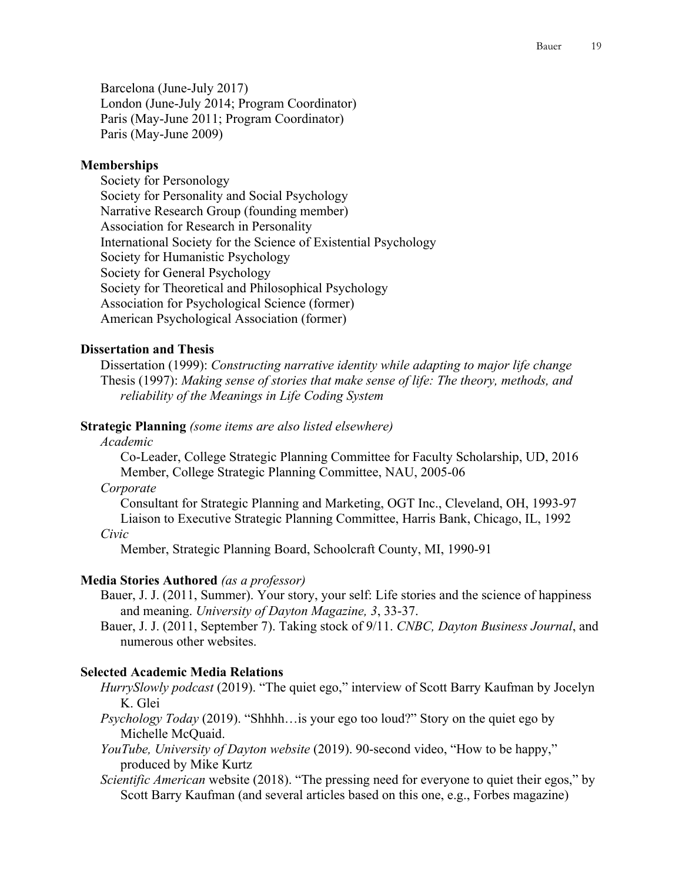Barcelona (June-July 2017) London (June-July 2014; Program Coordinator) Paris (May-June 2011; Program Coordinator) Paris (May-June 2009)

### **Memberships**

Society for Personology Society for Personality and Social Psychology Narrative Research Group (founding member) Association for Research in Personality International Society for the Science of Existential Psychology Society for Humanistic Psychology Society for General Psychology Society for Theoretical and Philosophical Psychology Association for Psychological Science (former) American Psychological Association (former)

### **Dissertation and Thesis**

Dissertation (1999): *Constructing narrative identity while adapting to major life change* Thesis (1997): *Making sense of stories that make sense of life: The theory, methods, and reliability of the Meanings in Life Coding System*

#### **Strategic Planning** *(some items are also listed elsewhere)*

# *Academic*

Co-Leader, College Strategic Planning Committee for Faculty Scholarship, UD, 2016 Member, College Strategic Planning Committee, NAU, 2005-06

#### *Corporate*

Consultant for Strategic Planning and Marketing, OGT Inc., Cleveland, OH, 1993-97 Liaison to Executive Strategic Planning Committee, Harris Bank, Chicago, IL, 1992 *Civic*

Member, Strategic Planning Board, Schoolcraft County, MI, 1990-91

#### **Media Stories Authored** *(as a professor)*

- Bauer, J. J. (2011, Summer). Your story, your self: Life stories and the science of happiness and meaning. *University of Dayton Magazine, 3*, 33-37.
- Bauer, J. J. (2011, September 7). Taking stock of 9/11. *CNBC, Dayton Business Journal*, and numerous other websites.

### **Selected Academic Media Relations**

- *HurrySlowly podcast* (2019). "The quiet ego," interview of Scott Barry Kaufman by Jocelyn K. Glei
- *Psychology Today* (2019). "Shhhh…is your ego too loud?" Story on the quiet ego by Michelle McQuaid.
- *YouTube, University of Dayton website* (2019). 90-second video, "How to be happy," produced by Mike Kurtz
- *Scientific American* website (2018). "The pressing need for everyone to quiet their egos," by Scott Barry Kaufman (and several articles based on this one, e.g., Forbes magazine)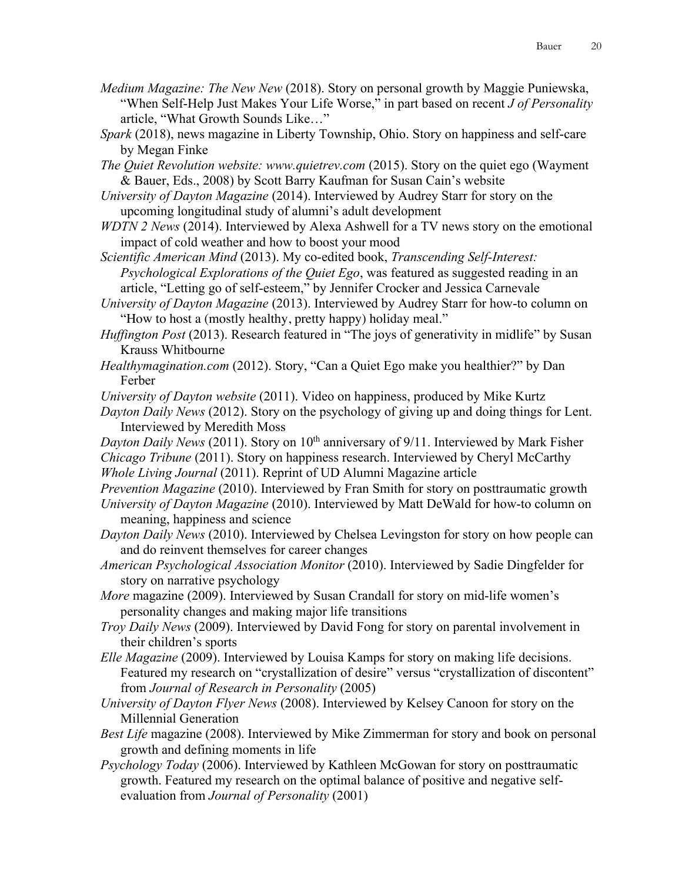- *Medium Magazine: The New New* (2018). Story on personal growth by Maggie Puniewska, "When Self-Help Just Makes Your Life Worse," in part based on recent *J of Personality* article, "What Growth Sounds Like…"
- *Spark* (2018), news magazine in Liberty Township, Ohio. Story on happiness and self-care by Megan Finke
- *The Quiet Revolution website: www.quietrev.com* (2015). Story on the quiet ego (Wayment & Bauer, Eds., 2008) by Scott Barry Kaufman for Susan Cain's website
- *University of Dayton Magazine* (2014). Interviewed by Audrey Starr for story on the upcoming longitudinal study of alumni's adult development
- *WDTN 2 News* (2014). Interviewed by Alexa Ashwell for a TV news story on the emotional impact of cold weather and how to boost your mood
- *Scientific American Mind* (2013). My co-edited book, *Transcending Self-Interest: Psychological Explorations of the Quiet Ego*, was featured as suggested reading in an article, "Letting go of self-esteem," by Jennifer Crocker and Jessica Carnevale
- *University of Dayton Magazine* (2013). Interviewed by Audrey Starr for how-to column on "How to host a (mostly healthy, pretty happy) holiday meal."
- *Huffington Post* (2013). Research featured in "The joys of generativity in midlife" by Susan Krauss Whitbourne
- *Healthymagination.com* (2012). Story, "Can a Quiet Ego make you healthier?" by Dan Ferber
- *University of Dayton website* (2011). Video on happiness, produced by Mike Kurtz
- *Dayton Daily News* (2012). Story on the psychology of giving up and doing things for Lent. Interviewed by Meredith Moss
- *Dayton Daily News* (2011). Story on 10<sup>th</sup> anniversary of 9/11. Interviewed by Mark Fisher *Chicago Tribune* (2011). Story on happiness research. Interviewed by Cheryl McCarthy *Whole Living Journal* (2011). Reprint of UD Alumni Magazine article
- *Prevention Magazine* (2010). Interviewed by Fran Smith for story on posttraumatic growth
- *University of Dayton Magazine* (2010). Interviewed by Matt DeWald for how-to column on meaning, happiness and science
- *Dayton Daily News* (2010). Interviewed by Chelsea Levingston for story on how people can and do reinvent themselves for career changes
- *American Psychological Association Monitor* (2010). Interviewed by Sadie Dingfelder for story on narrative psychology
- *More* magazine (2009). Interviewed by Susan Crandall for story on mid-life women's personality changes and making major life transitions
- *Troy Daily News* (2009). Interviewed by David Fong for story on parental involvement in their children's sports
- *Elle Magazine* (2009). Interviewed by Louisa Kamps for story on making life decisions. Featured my research on "crystallization of desire" versus "crystallization of discontent" from *Journal of Research in Personality* (2005)
- *University of Dayton Flyer News* (2008). Interviewed by Kelsey Canoon for story on the Millennial Generation
- *Best Life* magazine (2008). Interviewed by Mike Zimmerman for story and book on personal growth and defining moments in life
- *Psychology Today* (2006). Interviewed by Kathleen McGowan for story on posttraumatic growth. Featured my research on the optimal balance of positive and negative selfevaluation from *Journal of Personality* (2001)